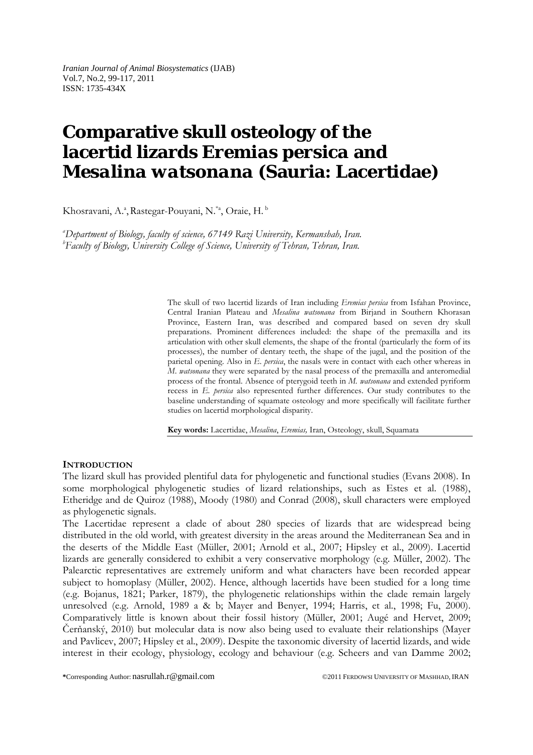*Iranian Journal of Animal Biosystematics* (IJAB) Vol.7, No.2, 99-117, 2011 ISSN: 1735-434X

# **Comparative skull osteology of the lacertid lizards** *Eremias persica* **and** *Mesalina watsonana* **(Sauria: Lacertidae)**

Khosravani, A.ª, Rastegar-Pouyani, N.<sup>\*a</sup>, Oraie, H.<sup>b</sup>

*a Department of Biology, faculty of science, 67149 Razi University, Kermanshah, Iran. b Faculty of Biology, University College of Science, University of Tehran, Tehran, Iran.*

> The skull of two lacertid lizards of Iran including *Eremias persica* from Isfahan Province, Central Iranian Plateau and *Mesalina watsonana* from Birjand in Southern Khorasan Province, Eastern Iran, was described and compared based on seven dry skull preparations. Prominent differences included: the shape of the premaxilla and its articulation with other skull elements, the shape of the frontal (particularly the form of its processes), the number of dentary teeth, the shape of the jugal, and the position of the parietal opening. Also in *E*. *persica*, the nasals were in contact with each other whereas in *M*. *watsonana* they were separated by the nasal process of the premaxilla and anteromedial process of the frontal. Absence of pterygoid teeth in *M. watsonana* and extended pyriform recess in *E. persica* also represented further differences. Our study contributes to the baseline understanding of squamate osteology and more specifically will facilitate further studies on lacertid morphological disparity.

**Key words:** Lacertidae, *Mesalina*, *Eremias,* Iran, Osteology, skull, Squamata

### **INTRODUCTION**

The lizard skull has provided plentiful data for phylogenetic and functional studies (Evans 2008). In some morphological phylogenetic studies of lizard relationships, such as Estes et al. (1988), Etheridge and de Quiroz (1988), Moody (1980) and Conrad (2008), skull characters were employed as phylogenetic signals.

The Lacertidae represent a clade of about 280 species of lizards that are widespread being distributed in the old world, with greatest diversity in the areas around the Mediterranean Sea and in the deserts of the Middle East (Müller, 2001; Arnold et al., 2007; Hipsley et al., 2009). Lacertid lizards are generally considered to exhibit a very conservative morphology (e.g. Müller, 2002). The Palearctic representatives are extremely uniform and what characters have been recorded appear subject to homoplasy (Müller, 2002). Hence, although lacertids have been studied for a long time (e.g. Bojanus, 1821; Parker, 1879), the phylogenetic relationships within the clade remain largely unresolved (e.g. Arnold, 1989 a & b; Mayer and Benyer, 1994; Harris, et al., 1998; Fu, 2000). Comparatively little is known about their fossil history (Müller, 2001; Augé and Hervet, 2009; Čerňanský, 2010) but molecular data is now also being used to evaluate their relationships (Mayer and Pavlicev, 2007; Hipsley et al., 2009). Despite the taxonomic diversity of lacertid lizards, and wide interest in their ecology, physiology, ecology and behaviour (e.g. Scheers and van Damme 2002;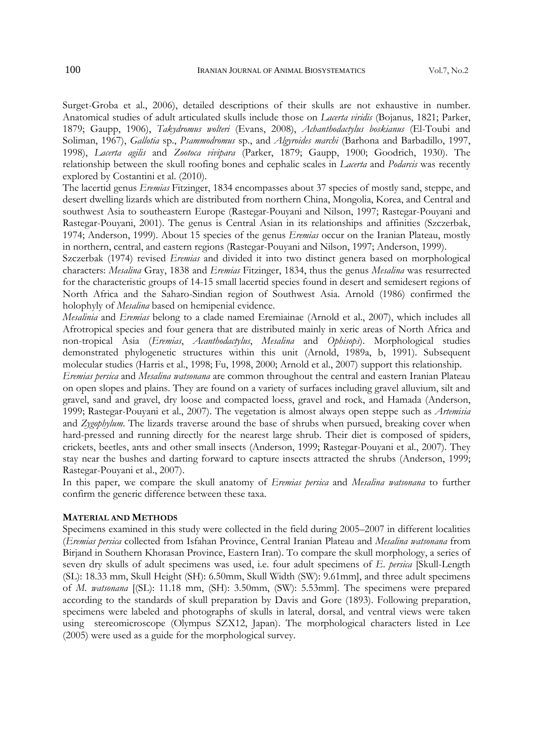Surget-Groba et al., 2006), detailed descriptions of their skulls are not exhaustive in number. Anatomical studies of adult articulated skulls include those on *Lacerta viridis* (Bojanus, 1821; Parker, 1879; Gaupp, 1906), *Takydromus wolteri* (Evans, 2008), *Achanthodactylus boskianus* (El-Toubi and Soliman, 1967), *Gallotia* sp., *Psammodromus* sp., and *Algyroides marchi* (Barhona and Barbadillo, 1997, 1998), *Lacerta agilis* and *Zootoca vivipara* (Parker, 1879; Gaupp, 1900; Goodrich, 1930). The relationship between the skull roofing bones and cephalic scales in *Lacerta* and *Podarcis* was recently explored by Costantini et al. (2010).

The lacertid genus *Eremias* Fitzinger, 1834 encompasses about 37 species of mostly sand, steppe, and desert dwelling lizards which are distributed from northern China, Mongolia, Korea, and Central and southwest Asia to southeastern Europe (Rastegar-Pouyani and Nilson, 1997; Rastegar-Pouyani and Rastegar-Pouyani, 2001). The genus is Central Asian in its relationships and affinities (Szczerbak, 1974; Anderson, 1999). About 15 species of the genus *Eremias* occur on the Iranian Plateau, mostly in northern, central, and eastern regions (Rastegar-Pouyani and Nilson, 1997; Anderson, 1999).

Szczerbak (1974) revised *Eremias* and divided it into two distinct genera based on morphological characters: *Mesalina* Gray, 1838 and *Eremias* Fitzinger, 1834, thus the genus *Mesalina* was resurrected for the characteristic groups of 14-15 small lacertid species found in desert and semidesert regions of North Africa and the Saharo-Sindian region of Southwest Asia. Arnold (1986) confirmed the holophyly of *Mesalina* based on hemipenial evidence.

*Mesalinia* and *Eremias* belong to a clade named Eremiainae (Arnold et al., 2007), which includes all Afrotropical species and four genera that are distributed mainly in xeric areas of North Africa and non-tropical Asia (*Eremias*, *Acanthodactylus*, *Mesalina* and *Ophisops*). Morphological studies demonstrated phylogenetic structures within this unit (Arnold, 1989a, b, 1991). Subsequent molecular studies (Harris et al., 1998; Fu, 1998, 2000; Arnold et al., 2007) support this relationship.

*Eremias persica* and *Mesalina watsonana* are common throughout the central and eastern Iranian Plateau on open slopes and plains. They are found on a variety of surfaces including gravel alluvium, silt and gravel, sand and gravel, dry loose and compacted loess, gravel and rock, and Hamada (Anderson, 1999; Rastegar-Pouyani et al., 2007). The vegetation is almost always open steppe such as *Artemisia*  and *Zygophylum*. The lizards traverse around the base of shrubs when pursued, breaking cover when hard-pressed and running directly for the nearest large shrub. Their diet is composed of spiders, crickets, beetles, ants and other small insects (Anderson, 1999; Rastegar-Pouyani et al., 2007). They stay near the bushes and darting forward to capture insects attracted the shrubs (Anderson, 1999; Rastegar-Pouyani et al., 2007).

In this paper, we compare the skull anatomy of *Eremias persica* and *Mesalina watsonana* to further confirm the generic difference between these taxa.

### **MATERIAL AND METHODS**

Specimens examined in this study were collected in the field during 2005–2007 in different localities (*Eremias persica* collected from Isfahan Province, Central Iranian Plateau and *Mesalina watsonana* from Birjand in Southern Khorasan Province, Eastern Iran). To compare the skull morphology, a series of seven dry skulls of adult specimens was used, i.e. four adult specimens of *E*. *persica* [Skull-Length (SL): 18.33 mm, Skull Height (SH): 6.50mm, Skull Width (SW): 9.61mm], and three adult specimens of *M*. *watsonana* [(SL): 11.18 mm, (SH): 3.50mm, (SW): 5.53mm]. The specimens were prepared according to the standards of skull preparation by Davis and Gore (1893). Following preparation, specimens were labeled and photographs of skulls in lateral, dorsal, and ventral views were taken using stereomicroscope (Olympus SZX12, Japan). The morphological characters listed in Lee (2005) were used as a guide for the morphological survey.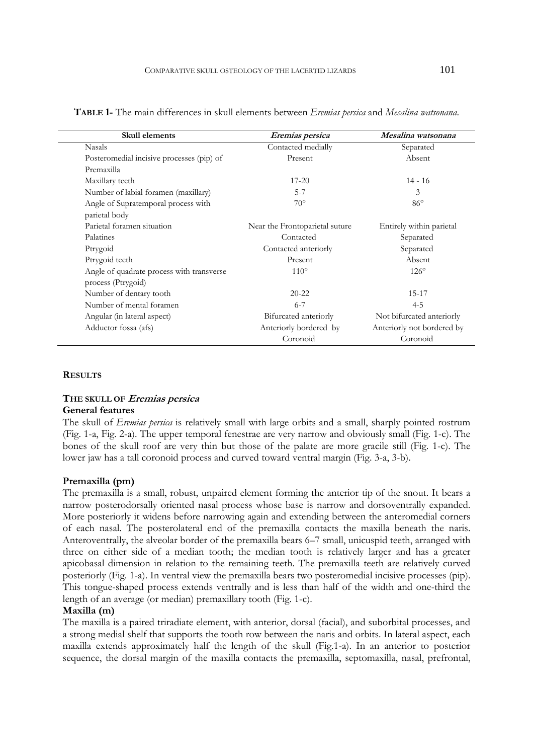| Skull elements                            | Eremias persica                | Mesalina watsonana         |
|-------------------------------------------|--------------------------------|----------------------------|
| <b>Nasals</b>                             | Contacted medially             | Separated                  |
| Posteromedial incisive processes (pip) of | Present                        | Absent                     |
| Premaxilla                                |                                |                            |
| Maxillary teeth                           | $17 - 20$                      | $14 - 16$                  |
| Number of labial foramen (maxillary)      | $5 - 7$                        | 3                          |
| Angle of Supratemporal process with       | $70^{\circ}$                   | $86^\circ$                 |
| parietal body                             |                                |                            |
| Parietal foramen situation                | Near the Frontoparietal suture | Entirely within parietal   |
| Palatines                                 | Contacted                      | Separated                  |
| Ptrygoid                                  | Contacted anteriorly           | Separated                  |
| Ptrygoid teeth                            | Present                        | Absent                     |
| Angle of quadrate process with transverse | $110^{\circ}$                  | $126^\circ$                |
| process (Ptrygoid)                        |                                |                            |
| Number of dentary tooth                   | $20 - 22$                      | 15-17                      |
| Number of mental foramen                  | $6 - 7$                        | $4 - 5$                    |
| Angular (in lateral aspect)               | Bifurcated anteriorly          | Not bifurcated anteriorly  |
| Adductor fossa (afs)                      | Anteriorly bordered by         | Anteriorly not bordered by |
|                                           | Coronoid                       | Coronoid                   |

**TABLE 1-** The main differences in skull elements between *Eremias persica* and *Mesalina watsonana*.

### **RESULTS**

### **THE SKULL OF Eremias persica General features**

The skull of *Eremias persica* is relatively small with large orbits and a small, sharply pointed rostrum (Fig. 1-a, Fig. 2-a). The upper temporal fenestrae are very narrow and obviously small (Fig. 1-c). The bones of the skull roof are very thin but those of the palate are more gracile still (Fig. 1-c). The lower jaw has a tall coronoid process and curved toward ventral margin (Fig. 3-a, 3-b).

# **Premaxilla (pm)**

The premaxilla is a small, robust, unpaired element forming the anterior tip of the snout. It bears a narrow posterodorsally oriented nasal process whose base is narrow and dorsoventrally expanded. More posteriorly it widens before narrowing again and extending between the anteromedial corners of each nasal. The posterolateral end of the premaxilla contacts the maxilla beneath the naris. Anteroventrally, the alveolar border of the premaxilla bears 6–7 small, unicuspid teeth, arranged with three on either side of a median tooth; the median tooth is relatively larger and has a greater apicobasal dimension in relation to the remaining teeth. The premaxilla teeth are relatively curved posteriorly (Fig. 1-a). In ventral view the premaxilla bears two posteromedial incisive processes (pip). This tongue-shaped process extends ventrally and is less than half of the width and one-third the length of an average (or median) premaxillary tooth (Fig. 1-c).

# **Maxilla (m)**

The maxilla is a paired triradiate element, with anterior, dorsal (facial), and suborbital processes, and a strong medial shelf that supports the tooth row between the naris and orbits. In lateral aspect, each maxilla extends approximately half the length of the skull (Fig.1-a). In an anterior to posterior sequence, the dorsal margin of the maxilla contacts the premaxilla, septomaxilla, nasal, prefrontal,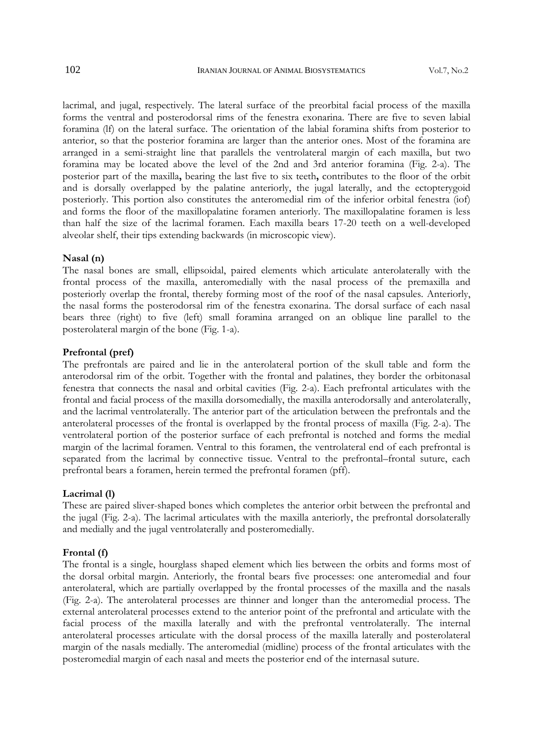lacrimal, and jugal, respectively. The lateral surface of the preorbital facial process of the maxilla forms the ventral and posterodorsal rims of the fenestra exonarina. There are five to seven labial foramina (lf) on the lateral surface. The orientation of the labial foramina shifts from posterior to anterior, so that the posterior foramina are larger than the anterior ones. Most of the foramina are arranged in a semi-straight line that parallels the ventrolateral margin of each maxilla, but two foramina may be located above the level of the 2nd and 3rd anterior foramina (Fig. 2-a). The posterior part of the maxilla**,** bearing the last five to six teeth**,** contributes to the floor of the orbit and is dorsally overlapped by the palatine anteriorly, the jugal laterally, and the ectopterygoid posteriorly. This portion also constitutes the anteromedial rim of the inferior orbital fenestra (iof) and forms the floor of the maxillopalatine foramen anteriorly. The maxillopalatine foramen is less than half the size of the lacrimal foramen. Each maxilla bears 17-20 teeth on a well-developed alveolar shelf, their tips extending backwards (in microscopic view).

#### **Nasal (n)**

The nasal bones are small, ellipsoidal, paired elements which articulate anterolaterally with the frontal process of the maxilla, anteromedially with the nasal process of the premaxilla and posteriorly overlap the frontal, thereby forming most of the roof of the nasal capsules. Anteriorly, the nasal forms the posterodorsal rim of the fenestra exonarina. The dorsal surface of each nasal bears three (right) to five (left) small foramina arranged on an oblique line parallel to the posterolateral margin of the bone (Fig. 1-a).

### **Prefrontal (pref)**

The prefrontals are paired and lie in the anterolateral portion of the skull table and form the anterodorsal rim of the orbit. Together with the frontal and palatines, they border the orbitonasal fenestra that connects the nasal and orbital cavities (Fig. 2-a). Each prefrontal articulates with the frontal and facial process of the maxilla dorsomedially, the maxilla anterodorsally and anterolaterally, and the lacrimal ventrolaterally. The anterior part of the articulation between the prefrontals and the anterolateral processes of the frontal is overlapped by the frontal process of maxilla (Fig. 2-a). The ventrolateral portion of the posterior surface of each prefrontal is notched and forms the medial margin of the lacrimal foramen. Ventral to this foramen, the ventrolateral end of each prefrontal is separated from the lacrimal by connective tissue. Ventral to the prefrontal–frontal suture, each prefrontal bears a foramen, herein termed the prefrontal foramen (pff).

### **Lacrimal (l)**

These are paired sliver-shaped bones which completes the anterior orbit between the prefrontal and the jugal (Fig. 2-a). The lacrimal articulates with the maxilla anteriorly, the prefrontal dorsolaterally and medially and the jugal ventrolaterally and posteromedially.

### **Frontal (f)**

The frontal is a single, hourglass shaped element which lies between the orbits and forms most of the dorsal orbital margin. Anteriorly, the frontal bears five processes: one anteromedial and four anterolateral, which are partially overlapped by the frontal processes of the maxilla and the nasals (Fig. 2-a). The anterolateral processes are thinner and longer than the anteromedial process. The external anterolateral processes extend to the anterior point of the prefrontal and articulate with the facial process of the maxilla laterally and with the prefrontal ventrolaterally. The internal anterolateral processes articulate with the dorsal process of the maxilla laterally and posterolateral margin of the nasals medially. The anteromedial (midline) process of the frontal articulates with the posteromedial margin of each nasal and meets the posterior end of the internasal suture.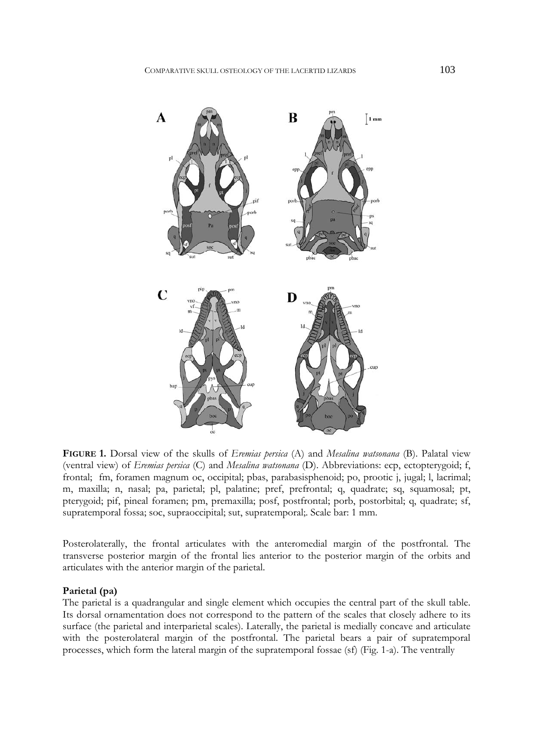

**FIGURE 1.** Dorsal view of the skulls of *Eremias persica* (A) and *Mesalina watsonana* (B). Palatal view (ventral view) of *Eremias persica* (C) and *Mesalina watsonana* (D). Abbreviations: ecp, ectopterygoid; f, frontal; fm, foramen magnum oc, occipital; pbas, parabasisphenoid; po, prootic j, jugal; l, lacrimal; m, maxilla; n, nasal; pa, parietal; pl, palatine; pref, prefrontal; q, quadrate; sq, squamosal; pt, pterygoid; pif, pineal foramen; pm, premaxilla; posf, postfrontal; porb, postorbital; q, quadrate; sf, supratemporal fossa; soc, supraoccipital; sut, supratemporal;. Scale bar: 1 mm.

Posterolaterally, the frontal articulates with the anteromedial margin of the postfrontal. The transverse posterior margin of the frontal lies anterior to the posterior margin of the orbits and articulates with the anterior margin of the parietal.

### **Parietal (pa)**

The parietal is a quadrangular and single element which occupies the central part of the skull table. Its dorsal ornamentation does not correspond to the pattern of the scales that closely adhere to its surface (the parietal and interparietal scales). Laterally, the parietal is medially concave and articulate with the posterolateral margin of the postfrontal. The parietal bears a pair of supratemporal processes, which form the lateral margin of the supratemporal fossae (sf) (Fig. 1-a). The ventrally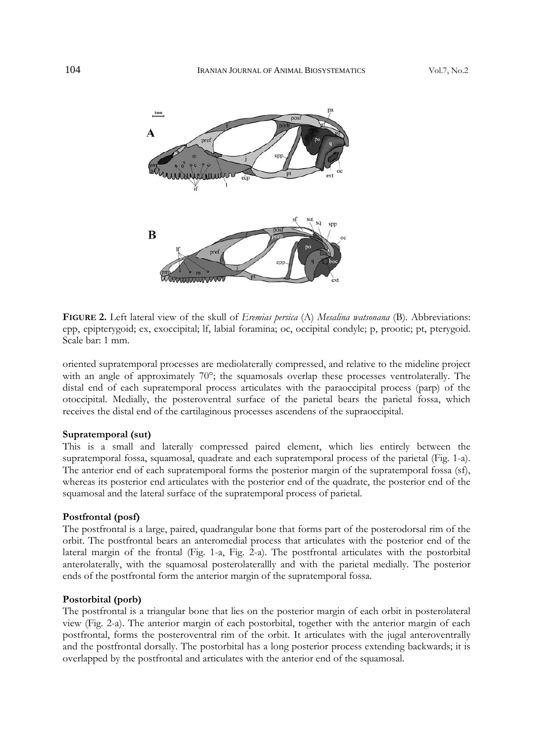

**FIGURE 2.** Left lateral view of the skull of *Eremias persica* (A) *Mesalina watsonana* (B)*.* Abbreviations: epp, epipterygoid; ex, exoccipital; lf, labial foramina; oc, occipital condyle; p, prootic; pt, pterygoid. Scale bar: 1 mm.

oriented supratemporal processes are mediolaterally compressed, and relative to the mideline project with an angle of approximately 70°; the squamosals overlap these processes ventrolaterally. The distal end of each supratemporal process articulates with the paraoccipital process (parp) of the otoccipital. Medially, the posteroventral surface of the parietal bears the parietal fossa, which receives the distal end of the cartilaginous processes ascendens of the supraoccipital.

#### **Supratemporal (sut)**

This is a small and laterally compressed paired element, which lies entirely between the supratemporal fossa, squamosal, quadrate and each supratemporal process of the parietal (Fig. 1-a). The anterior end of each supratemporal forms the posterior margin of the supratemporal fossa (sf), whereas its posterior end articulates with the posterior end of the quadrate, the posterior end of the squamosal and the lateral surface of the supratemporal process of parietal.

### **Postfrontal (posf)**

The postfrontal is a large, paired, quadrangular bone that forms part of the posterodorsal rim of the orbit. The postfrontal bears an anteromedial process that articulates with the posterior end of the lateral margin of the frontal (Fig. 1-a, Fig. 2-a). The postfrontal articulates with the postorbital anterolaterally, with the squamosal posterolaterallly and with the parietal medially. The posterior ends of the postfrontal form the anterior margin of the supratemporal fossa.

### **Postorbital (porb)**

The postfrontal is a triangular bone that lies on the posterior margin of each orbit in posterolateral view (Fig. 2-a). The anterior margin of each postorbital, together with the anterior margin of each postfrontal, forms the posteroventral rim of the orbit. It articulates with the jugal anteroventrally and the postfrontal dorsally. The postorbital has a long posterior process extending backwards; it is overlapped by the postfrontal and articulates with the anterior end of the squamosal.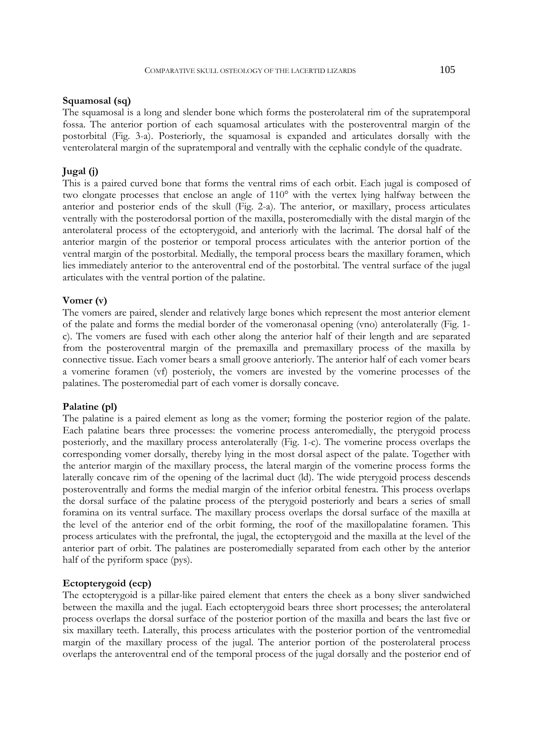### **Squamosal (sq)**

The squamosal is a long and slender bone which forms the posterolateral rim of the supratemporal fossa. The anterior portion of each squamosal articulates with the posteroventral margin of the postorbital (Fig. 3-a). Posteriorly, the squamosal is expanded and articulates dorsally with the venterolateral margin of the supratemporal and ventrally with the cephalic condyle of the quadrate.

# **Jugal (j)**

This is a paired curved bone that forms the ventral rims of each orbit. Each jugal is composed of two elongate processes that enclose an angle of 110° with the vertex lying halfway between the anterior and posterior ends of the skull (Fig. 2-a). The anterior, or maxillary, process articulates ventrally with the posterodorsal portion of the maxilla, posteromedially with the distal margin of the anterolateral process of the ectopterygoid, and anteriorly with the lacrimal. The dorsal half of the anterior margin of the posterior or temporal process articulates with the anterior portion of the ventral margin of the postorbital. Medially, the temporal process bears the maxillary foramen, which lies immediately anterior to the anteroventral end of the postorbital. The ventral surface of the jugal articulates with the ventral portion of the palatine.

#### **Vomer (v)**

The vomers are paired, slender and relatively large bones which represent the most anterior element of the palate and forms the medial border of the vomeronasal opening (vno) anterolaterally (Fig. 1 c). The vomers are fused with each other along the anterior half of their length and are separated from the posteroventral margin of the premaxilla and premaxillary process of the maxilla by connective tissue. Each vomer bears a small groove anteriorly. The anterior half of each vomer bears a vomerine foramen (vf) posterioly, the vomers are invested by the vomerine processes of the palatines. The posteromedial part of each vomer is dorsally concave.

### **Palatine (pl)**

The palatine is a paired element as long as the vomer; forming the posterior region of the palate. Each palatine bears three processes: the vomerine process anteromedially, the pterygoid process posteriorly, and the maxillary process anterolaterally (Fig. 1-c). The vomerine process overlaps the corresponding vomer dorsally, thereby lying in the most dorsal aspect of the palate. Together with the anterior margin of the maxillary process, the lateral margin of the vomerine process forms the laterally concave rim of the opening of the lacrimal duct (ld). The wide pterygoid process descends posteroventrally and forms the medial margin of the inferior orbital fenestra. This process overlaps the dorsal surface of the palatine process of the pterygoid posteriorly and bears a series of small foramina on its ventral surface. The maxillary process overlaps the dorsal surface of the maxilla at the level of the anterior end of the orbit forming, the roof of the maxillopalatine foramen. This process articulates with the prefrontal, the jugal, the ectopterygoid and the maxilla at the level of the anterior part of orbit. The palatines are posteromedially separated from each other by the anterior half of the pyriform space (pys).

### **Ectopterygoid (ecp)**

The ectopterygoid is a pillar-like paired element that enters the cheek as a bony sliver sandwiched between the maxilla and the jugal. Each ectopterygoid bears three short processes; the anterolateral process overlaps the dorsal surface of the posterior portion of the maxilla and bears the last five or six maxillary teeth. Laterally, this process articulates with the posterior portion of the ventromedial margin of the maxillary process of the jugal. The anterior portion of the posterolateral process overlaps the anteroventral end of the temporal process of the jugal dorsally and the posterior end of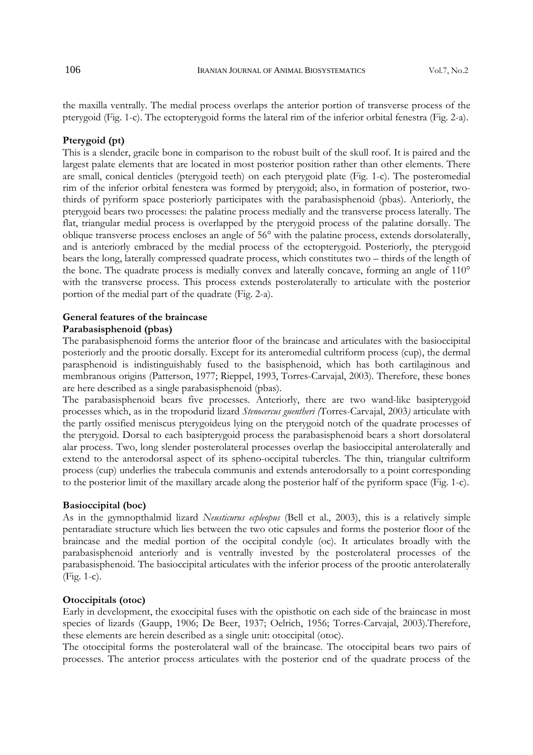the maxilla ventrally. The medial process overlaps the anterior portion of transverse process of the pterygoid (Fig. 1-c). The ectopterygoid forms the lateral rim of the inferior orbital fenestra (Fig. 2-a).

### **Pterygoid (pt)**

This is a slender, gracile bone in comparison to the robust built of the skull roof. It is paired and the largest palate elements that are located in most posterior position rather than other elements. There are small, conical denticles (pterygoid teeth) on each pterygoid plate (Fig. 1-c). The posteromedial rim of the inferior orbital fenestera was formed by pterygoid; also, in formation of posterior, twothirds of pyriform space posteriorly participates with the parabasisphenoid (pbas). Anteriorly, the pterygoid bears two processes: the palatine process medially and the transverse process laterally. The flat, triangular medial process is overlapped by the pterygoid process of the palatine dorsally. The oblique transverse process encloses an angle of 56° with the palatine process, extends dorsolaterally, and is anteriorly embraced by the medial process of the ectopterygoid. Posteriorly, the pterygoid bears the long, laterally compressed quadrate process, which constitutes two – thirds of the length of the bone. The quadrate process is medially convex and laterally concave, forming an angle of 110° with the transverse process. This process extends posterolaterally to articulate with the posterior portion of the medial part of the quadrate (Fig. 2-a).

### **General features of the braincase Parabasisphenoid (pbas)**

The parabasisphenoid forms the anterior floor of the braincase and articulates with the basioccipital posteriorly and the prootic dorsally. Except for its anteromedial cultriform process (cup), the dermal parasphenoid is indistinguishably fused to the basisphenoid, which has both cartilaginous and membranous origins (Patterson, 1977; Rieppel, 1993, Torres-Carvajal, 2003). Therefore, these bones are here described as a single parabasisphenoid (pbas).

The parabasisphenoid bears five processes. Anteriorly, there are two wand-like basipterygoid processes which, as in the tropodurid lizard *Stenocercus guentheri (*Torres-Carvajal, 2003*)* articulate with the partly ossified meniscus pterygoideus lying on the pterygoid notch of the quadrate processes of the pterygoid. Dorsal to each basipterygoid process the parabasisphenoid bears a short dorsolateral alar process. Two, long slender posterolateral processes overlap the basioccipital anterolaterally and extend to the anterodorsal aspect of its spheno-occipital tubercles. The thin, triangular cultriform process (cup) underlies the trabecula communis and extends anterodorsally to a point corresponding to the posterior limit of the maxillary arcade along the posterior half of the pyriform space (Fig. 1-c).

### **Basioccipital (boc)**

As in the gymnopthalmid lizard *Neusticurus ecpleopus* (Bell et al., 2003), this is a relatively simple pentaradiate structure which lies between the two otic capsules and forms the posterior floor of the braincase and the medial portion of the occipital condyle (oc). It articulates broadly with the parabasisphenoid anteriorly and is ventrally invested by the posterolateral processes of the parabasisphenoid. The basioccipital articulates with the inferior process of the prootic anterolaterally (Fig. 1-c).

# **Otoccipitals (otoc)**

Early in development, the exoccipital fuses with the opisthotic on each side of the braincase in most species of lizards (Gaupp, 1906; De Beer, 1937; Oelrich, 1956; Torres-Carvajal, 2003).Therefore, these elements are herein described as a single unit: otoccipital (otoc).

The otoccipital forms the posterolateral wall of the braincase. The otoccipital bears two pairs of processes. The anterior process articulates with the posterior end of the quadrate process of the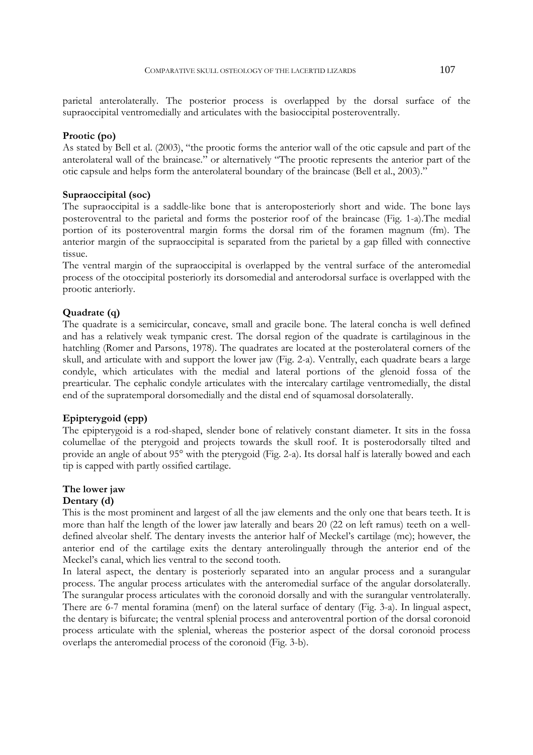parietal anterolaterally. The posterior process is overlapped by the dorsal surface of the supraoccipital ventromedially and articulates with the basioccipital posteroventrally.

# **Prootic (po)**

As stated by Bell et al. (2003), "the prootic forms the anterior wall of the otic capsule and part of the anterolateral wall of the braincase." or alternatively "The prootic represents the anterior part of the otic capsule and helps form the anterolateral boundary of the braincase (Bell et al., 2003)."

# **Supraoccipital (soc)**

The supraoccipital is a saddle-like bone that is anteroposteriorly short and wide. The bone lays posteroventral to the parietal and forms the posterior roof of the braincase (Fig. 1-a).The medial portion of its posteroventral margin forms the dorsal rim of the foramen magnum (fm). The anterior margin of the supraoccipital is separated from the parietal by a gap filled with connective tissue.

The ventral margin of the supraoccipital is overlapped by the ventral surface of the anteromedial process of the otoccipital posteriorly its dorsomedial and anterodorsal surface is overlapped with the prootic anteriorly.

# **Quadrate (q)**

The quadrate is a semicircular, concave, small and gracile bone. The lateral concha is well defined and has a relatively weak tympanic crest. The dorsal region of the quadrate is cartilaginous in the hatchling (Romer and Parsons, 1978). The quadrates are located at the posterolateral corners of the skull, and articulate with and support the lower jaw (Fig. 2-a). Ventrally, each quadrate bears a large condyle, which articulates with the medial and lateral portions of the glenoid fossa of the prearticular. The cephalic condyle articulates with the intercalary cartilage ventromedially, the distal end of the supratemporal dorsomedially and the distal end of squamosal dorsolaterally.

# **Epipterygoid (epp)**

The epipterygoid is a rod-shaped, slender bone of relatively constant diameter. It sits in the fossa columellae of the pterygoid and projects towards the skull roof. It is posterodorsally tilted and provide an angle of about 95° with the pterygoid (Fig. 2-a). Its dorsal half is laterally bowed and each tip is capped with partly ossified cartilage.

## **The lower jaw**

### **Dentary (d)**

This is the most prominent and largest of all the jaw elements and the only one that bears teeth. It is more than half the length of the lower jaw laterally and bears 20 (22 on left ramus) teeth on a welldefined alveolar shelf. The dentary invests the anterior half of Meckel's cartilage (mc); however, the anterior end of the cartilage exits the dentary anterolingually through the anterior end of the Meckel's canal, which lies ventral to the second tooth.

In lateral aspect, the dentary is posteriorly separated into an angular process and a surangular process. The angular process articulates with the anteromedial surface of the angular dorsolaterally. The surangular process articulates with the coronoid dorsally and with the surangular ventrolaterally. There are 6-7 mental foramina (menf) on the lateral surface of dentary (Fig. 3-a). In lingual aspect, the dentary is bifurcate; the ventral splenial process and anteroventral portion of the dorsal coronoid process articulate with the splenial, whereas the posterior aspect of the dorsal coronoid process overlaps the anteromedial process of the coronoid (Fig. 3-b).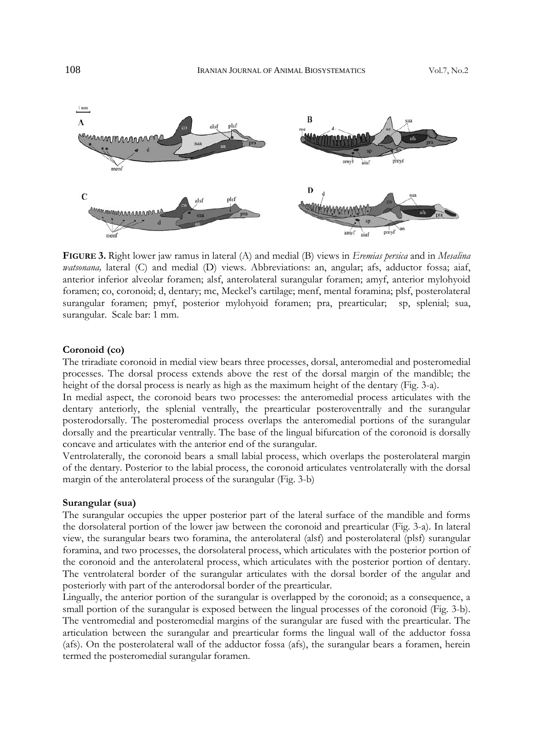

**FIGURE 3.** Right lower jaw ramus in lateral (A) and medial (B) views in *Eremias persica* and in *Mesalina watsonana,* lateral (C) and medial (D) views. Abbreviations: an, angular; afs, adductor fossa; aiaf, anterior inferior alveolar foramen; alsf, anterolateral surangular foramen; amyf, anterior mylohyoid foramen; co, coronoid; d, dentary; mc, Meckel's cartilage; menf, mental foramina; plsf, posterolateral surangular foramen; pmyf, posterior mylohyoid foramen; pra, prearticular; sp, splenial; sua, surangular. Scale bar: 1 mm.

### **Coronoid (co)**

The triradiate coronoid in medial view bears three processes, dorsal, anteromedial and posteromedial processes. The dorsal process extends above the rest of the dorsal margin of the mandible; the height of the dorsal process is nearly as high as the maximum height of the dentary (Fig. 3-a).

In medial aspect, the coronoid bears two processes: the anteromedial process articulates with the dentary anteriorly, the splenial ventrally, the prearticular posteroventrally and the surangular posterodorsally. The posteromedial process overlaps the anteromedial portions of the surangular dorsally and the prearticular ventrally. The base of the lingual bifurcation of the coronoid is dorsally concave and articulates with the anterior end of the surangular.

Ventrolaterally, the coronoid bears a small labial process, which overlaps the posterolateral margin of the dentary. Posterior to the labial process, the coronoid articulates ventrolaterally with the dorsal margin of the anterolateral process of the surangular (Fig. 3-b)

#### **Surangular (sua)**

The surangular occupies the upper posterior part of the lateral surface of the mandible and forms the dorsolateral portion of the lower jaw between the coronoid and prearticular (Fig. 3-a). In lateral view, the surangular bears two foramina, the anterolateral (alsf) and posterolateral (plsf) surangular foramina, and two processes, the dorsolateral process, which articulates with the posterior portion of the coronoid and the anterolateral process, which articulates with the posterior portion of dentary. The ventrolateral border of the surangular articulates with the dorsal border of the angular and posteriorly with part of the anterodorsal border of the prearticular.

Lingually, the anterior portion of the surangular is overlapped by the coronoid; as a consequence, a small portion of the surangular is exposed between the lingual processes of the coronoid (Fig. 3-b). The ventromedial and posteromedial margins of the surangular are fused with the prearticular. The articulation between the surangular and prearticular forms the lingual wall of the adductor fossa (afs). On the posterolateral wall of the adductor fossa (afs), the surangular bears a foramen, herein termed the posteromedial surangular foramen.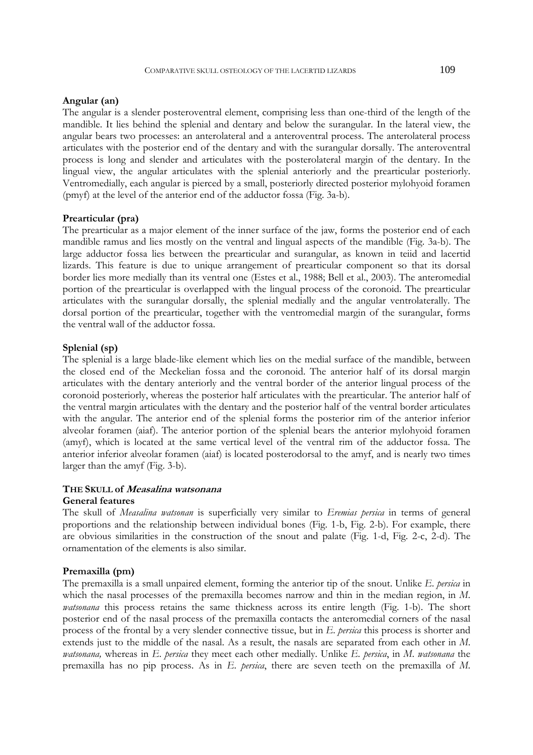### **Angular (an)**

The angular is a slender posteroventral element, comprising less than one-third of the length of the mandible. It lies behind the splenial and dentary and below the surangular. In the lateral view, the angular bears two processes: an anterolateral and a anteroventral process. The anterolateral process articulates with the posterior end of the dentary and with the surangular dorsally. The anteroventral process is long and slender and articulates with the posterolateral margin of the dentary. In the lingual view, the angular articulates with the splenial anteriorly and the prearticular posteriorly. Ventromedially, each angular is pierced by a small, posteriorly directed posterior mylohyoid foramen (pmyf) at the level of the anterior end of the adductor fossa (Fig. 3a-b).

#### **Prearticular (pra)**

The prearticular as a major element of the inner surface of the jaw, forms the posterior end of each mandible ramus and lies mostly on the ventral and lingual aspects of the mandible (Fig. 3a-b). The large adductor fossa lies between the prearticular and surangular, as known in teiid and lacertid lizards. This feature is due to unique arrangement of prearticular component so that its dorsal border lies more medially than its ventral one (Estes et al., 1988; Bell et al., 2003). The anteromedial portion of the prearticular is overlapped with the lingual process of the coronoid. The prearticular articulates with the surangular dorsally, the splenial medially and the angular ventrolaterally. The dorsal portion of the prearticular, together with the ventromedial margin of the surangular, forms the ventral wall of the adductor fossa.

# **Splenial (sp)**

The splenial is a large blade-like element which lies on the medial surface of the mandible, between the closed end of the Meckelian fossa and the coronoid. The anterior half of its dorsal margin articulates with the dentary anteriorly and the ventral border of the anterior lingual process of the coronoid posteriorly, whereas the posterior half articulates with the prearticular. The anterior half of the ventral margin articulates with the dentary and the posterior half of the ventral border articulates with the angular. The anterior end of the splenial forms the posterior rim of the anterior inferior alveolar foramen (aiaf). The anterior portion of the splenial bears the anterior mylohyoid foramen (amyf), which is located at the same vertical level of the ventral rim of the adductor fossa. The anterior inferior alveolar foramen (aiaf) is located posterodorsal to the amyf, and is nearly two times larger than the amyf (Fig. 3-b).

# **THE SKULL of Measalina watsonana**

# **General features**

The skull of *Measalina watsonan* is superficially very similar to *Eremias persica* in terms of general proportions and the relationship between individual bones (Fig. 1-b, Fig. 2-b). For example, there are obvious similarities in the construction of the snout and palate (Fig. 1-d, Fig. 2-c, 2-d). The ornamentation of the elements is also similar.

#### **Premaxilla (pm)**

The premaxilla is a small unpaired element, forming the anterior tip of the snout. Unlike *E*. *persica* in which the nasal processes of the premaxilla becomes narrow and thin in the median region, in *M*. *watsonana* this process retains the same thickness across its entire length (Fig. 1-b). The short posterior end of the nasal process of the premaxilla contacts the anteromedial corners of the nasal process of the frontal by a very slender connective tissue, but in *E*. *persica* this process is shorter and extends just to the middle of the nasal. As a result, the nasals are separated from each other in *M*. *watsonana,* whereas in *E*. *persica* they meet each other medially. Unlike *E. persica*, in *M*. *watsonana* the premaxilla has no pip process. As in *E*. *persica*, there are seven teeth on the premaxilla of *M*.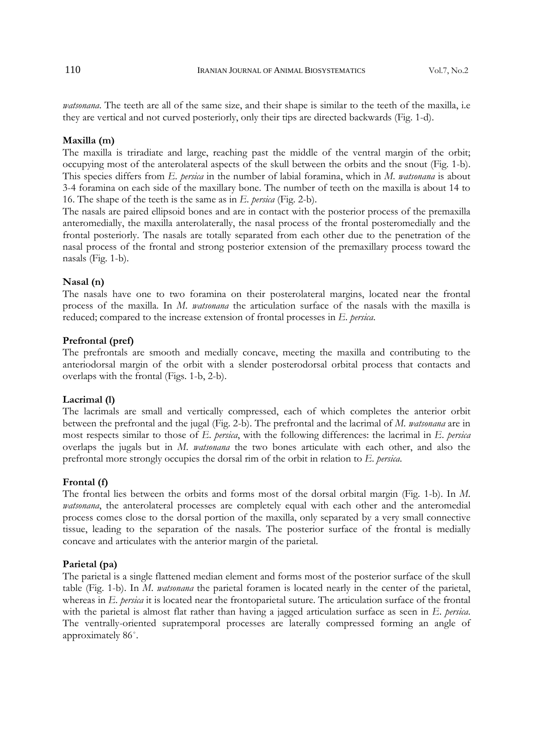*watsonana*. The teeth are all of the same size, and their shape is similar to the teeth of the maxilla, i.e they are vertical and not curved posteriorly, only their tips are directed backwards (Fig. 1-d).

#### **Maxilla (m)**

The maxilla is triradiate and large, reaching past the middle of the ventral margin of the orbit; occupying most of the anterolateral aspects of the skull between the orbits and the snout (Fig. 1-b). This species differs from *E*. *persica* in the number of labial foramina, which in *M*. *watsonana* is about 3-4 foramina on each side of the maxillary bone. The number of teeth on the maxilla is about 14 to 16. The shape of the teeth is the same as in *E*. *persica* (Fig. 2-b).

The nasals are paired ellipsoid bones and are in contact with the posterior process of the premaxilla anteromedially, the maxilla anterolaterally, the nasal process of the frontal posteromedially and the frontal posteriorly. The nasals are totally separated from each other due to the penetration of the nasal process of the frontal and strong posterior extension of the premaxillary process toward the nasals (Fig. 1-b).

### **Nasal (n)**

The nasals have one to two foramina on their posterolateral margins, located near the frontal process of the maxilla. In *M*. *watsonana* the articulation surface of the nasals with the maxilla is reduced; compared to the increase extension of frontal processes in *E*. *persica*.

### **Prefrontal (pref)**

The prefrontals are smooth and medially concave, meeting the maxilla and contributing to the anteriodorsal margin of the orbit with a slender posterodorsal orbital process that contacts and overlaps with the frontal (Figs. 1-b, 2-b).

### **Lacrimal (l)**

The lacrimals are small and vertically compressed, each of which completes the anterior orbit between the prefrontal and the jugal (Fig. 2-b). The prefrontal and the lacrimal of *M. watsonana* are in most respects similar to those of *E*. *persica*, with the following differences: the lacrimal in *E*. *persica*  overlaps the jugals but in *M*. *watsonana* the two bones articulate with each other, and also the prefrontal more strongly occupies the dorsal rim of the orbit in relation to *E*. *persica*.

#### **Frontal (f)**

The frontal lies between the orbits and forms most of the dorsal orbital margin (Fig. 1-b). In *M*. *watsonana*, the anterolateral processes are completely equal with each other and the anteromedial process comes close to the dorsal portion of the maxilla, only separated by a very small connective tissue, leading to the separation of the nasals. The posterior surface of the frontal is medially concave and articulates with the anterior margin of the parietal.

### **Parietal (pa)**

The parietal is a single flattened median element and forms most of the posterior surface of the skull table (Fig. 1-b). In *M*. *watsonana* the parietal foramen is located nearly in the center of the parietal, whereas in *E. persica* it is located near the frontoparietal suture. The articulation surface of the frontal with the parietal is almost flat rather than having a jagged articulation surface as seen in *E*. *persica*. The ventrally-oriented supratemporal processes are laterally compressed forming an angle of approximately 86˚.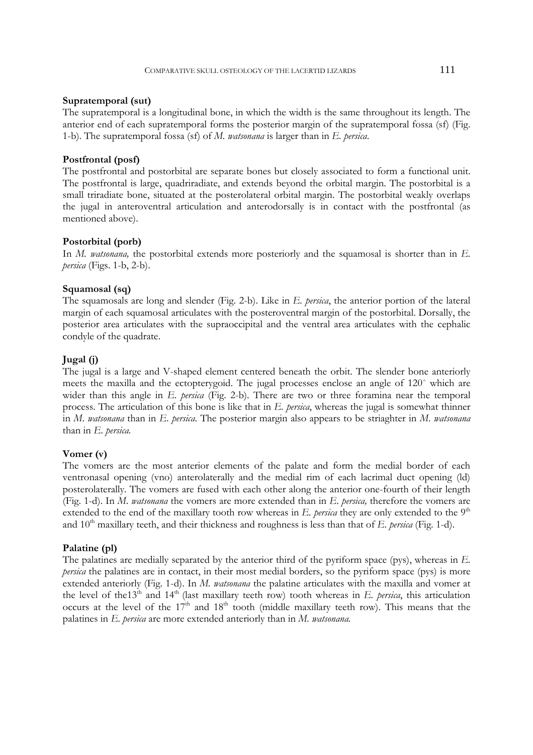#### **Supratemporal (sut)**

The supratemporal is a longitudinal bone, in which the width is the same throughout its length. The anterior end of each supratemporal forms the posterior margin of the supratemporal fossa (sf) (Fig. 1-b). The supratemporal fossa (sf) of *M. watsonana* is larger than in *E. persica*.

### **Postfrontal (posf)**

The postfrontal and postorbital are separate bones but closely associated to form a functional unit. The postfrontal is large, quadriradiate, and extends beyond the orbital margin. The postorbital is a small triradiate bone, situated at the posterolateral orbital margin. The postorbital weakly overlaps the jugal in anteroventral articulation and anterodorsally is in contact with the postfrontal (as mentioned above).

### **Postorbital (porb)**

In *M. watsonana*, the postorbital extends more posteriorly and the squamosal is shorter than in *E*. *persica* (Figs. 1-b, 2-b).

# **Squamosal (sq)**

The squamosals are long and slender (Fig. 2-b). Like in *E. persica*, the anterior portion of the lateral margin of each squamosal articulates with the posteroventral margin of the postorbital. Dorsally, the posterior area articulates with the supraoccipital and the ventral area articulates with the cephalic condyle of the quadrate.

### **Jugal (j)**

The jugal is a large and V-shaped element centered beneath the orbit. The slender bone anteriorly meets the maxilla and the ectopterygoid. The jugal processes enclose an angle of 120˚ which are wider than this angle in *E*. *persica* (Fig. 2-b). There are two or three foramina near the temporal process. The articulation of this bone is like that in *E. persica*, whereas the jugal is somewhat thinner in *M*. *watsonana* than in *E*. *persica*. The posterior margin also appears to be striaghter in *M*. *watsonana*  than in *E*. *persica.*

### **Vomer (v)**

The vomers are the most anterior elements of the palate and form the medial border of each ventronasal opening (vno) anterolaterally and the medial rim of each lacrimal duct opening (ld) posterolaterally. The vomers are fused with each other along the anterior one-fourth of their length (Fig. 1-d). In *M*. *watsonana* the vomers are more extended than in *E*. *persica,* therefore the vomers are extended to the end of the maxillary tooth row whereas in *E. persica* they are only extended to the 9<sup>th</sup> and 10<sup>th</sup> maxillary teeth, and their thickness and roughness is less than that of *E. persica* (Fig. 1-d).

### **Palatine (pl)**

The palatines are medially separated by the anterior third of the pyriform space (pys), whereas in *E. persica* the palatines are in contact, in their most medial borders, so the pyriform space (pys) is more extended anteriorly (Fig. 1-d). In *M. watsonana* the palatine articulates with the maxilla and vomer at the level of the13<sup>th</sup> and 14<sup>th</sup> (last maxillary teeth row) tooth whereas in *E. persica*, this articulation occurs at the level of the  $17<sup>th</sup>$  and  $18<sup>th</sup>$  tooth (middle maxillary teeth row). This means that the palatines in *E. persica* are more extended anteriorly than in *M. watsonana.*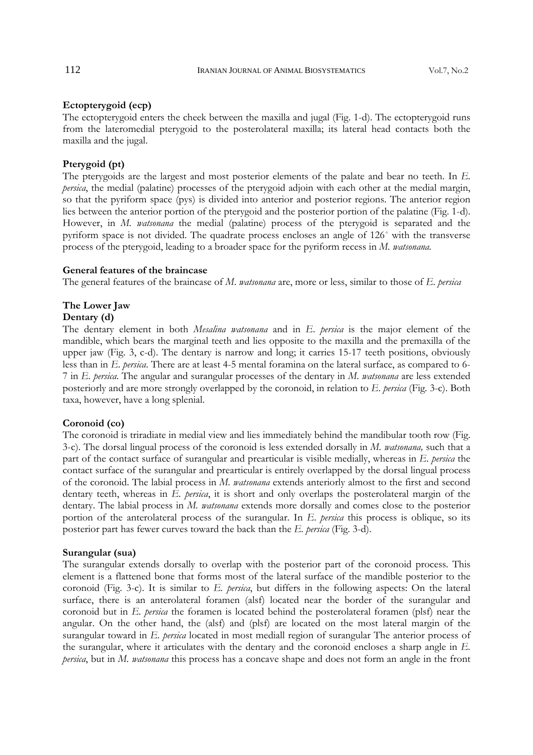# **Ectopterygoid (ecp)**

The ectopterygoid enters the cheek between the maxilla and jugal (Fig. 1-d). The ectopterygoid runs from the lateromedial pterygoid to the posterolateral maxilla; its lateral head contacts both the maxilla and the jugal.

# **Pterygoid (pt)**

The pterygoids are the largest and most posterior elements of the palate and bear no teeth. In *E. persica*, the medial (palatine) processes of the pterygoid adjoin with each other at the medial margin, so that the pyriform space (pys) is divided into anterior and posterior regions. The anterior region lies between the anterior portion of the pterygoid and the posterior portion of the palatine (Fig. 1-d). However, in *M. watsonana* the medial (palatine) process of the pterygoid is separated and the pyriform space is not divided. The quadrate process encloses an angle of 126˚ with the transverse process of the pterygoid, leading to a broader space for the pyriform recess in *M. watsonana.* 

# **General features of the braincase**

The general features of the braincase of *M*. *watsonana* are, more or less, similar to those of *E*. *persica*

### **The Lower Jaw**

### **Dentary (d)**

The dentary element in both *Mesalina watsonana* and in *E*. *persica* is the major element of the mandible, which bears the marginal teeth and lies opposite to the maxilla and the premaxilla of the upper jaw (Fig. 3, c-d). The dentary is narrow and long; it carries 15-17 teeth positions, obviously less than in *E*. *persica*. There are at least 4-5 mental foramina on the lateral surface, as compared to 6- 7 in *E. persica*. The angular and surangular processes of the dentary in *M*. *watsonana* are less extended posteriorly and are more strongly overlapped by the coronoid, in relation to *E*. *persica* (Fig. 3-c). Both taxa, however, have a long splenial.

### **Coronoid (co)**

The coronoid is triradiate in medial view and lies immediately behind the mandibular tooth row (Fig. 3-c). The dorsal lingual process of the coronoid is less extended dorsally in *M. watsonana,* such that a part of the contact surface of surangular and prearticular is visible medially, whereas in *E*. *persica* the contact surface of the surangular and prearticular is entirely overlapped by the dorsal lingual process of the coronoid. The labial process in *M. watsonana* extends anteriorly almost to the first and second dentary teeth, whereas in *E. persica*, it is short and only overlaps the posterolateral margin of the dentary. The labial process in *M. watsonana* extends more dorsally and comes close to the posterior portion of the anterolateral process of the surangular. In *E. persica* this process is oblique, so its posterior part has fewer curves toward the back than the *E. persica* (Fig. 3-d).

### **Surangular (sua)**

The surangular extends dorsally to overlap with the posterior part of the coronoid process. This element is a flattened bone that forms most of the lateral surface of the mandible posterior to the coronoid (Fig. 3-c). It is similar to *E. persica*, but differs in the following aspects: On the lateral surface, there is an anterolateral foramen (alsf) located near the border of the surangular and coronoid but in *E. persica* the foramen is located behind the posterolateral foramen (plsf) near the angular. On the other hand, the (alsf) and (plsf) are located on the most lateral margin of the surangular toward in *E. persica* located in most mediall region of surangular The anterior process of the surangular, where it articulates with the dentary and the coronoid encloses a sharp angle in *E. persica*, but in *M. watsonana* this process has a concave shape and does not form an angle in the front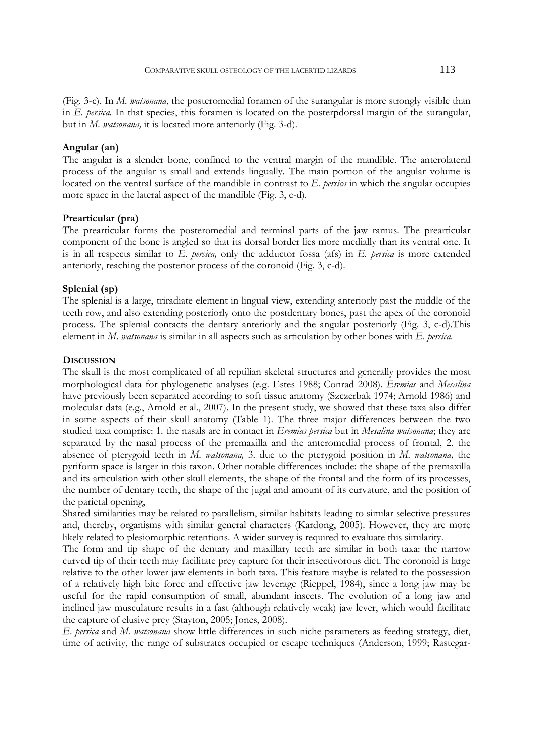(Fig. 3-c). In *M. watsonana*, the posteromedial foramen of the surangular is more strongly visible than in *E. persica.* In that species, this foramen is located on the posterpdorsal margin of the surangular, but in *M. watsonana,* it is located more anteriorly (Fig. 3-d).

## **Angular (an)**

The angular is a slender bone, confined to the ventral margin of the mandible. The anterolateral process of the angular is small and extends lingually. The main portion of the angular volume is located on the ventral surface of the mandible in contrast to *E. persica* in which the angular occupies more space in the lateral aspect of the mandible (Fig. 3, c-d).

### **Prearticular (pra)**

The prearticular forms the posteromedial and terminal parts of the jaw ramus. The prearticular component of the bone is angled so that its dorsal border lies more medially than its ventral one. It is in all respects similar to *E*. *persica,* only the adductor fossa (afs) in *E. persica* is more extended anteriorly, reaching the posterior process of the coronoid (Fig. 3, c-d).

# **Splenial (sp)**

The splenial is a large, triradiate element in lingual view, extending anteriorly past the middle of the teeth row, and also extending posteriorly onto the postdentary bones, past the apex of the coronoid process. The splenial contacts the dentary anteriorly and the angular posteriorly (Fig. 3, c-d).This element in *M*. *watsonana* is similar in all aspects such as articulation by other bones with *E*. *persica.*

#### **DISCUSSION**

The skull is the most complicated of all reptilian skeletal structures and generally provides the most morphological data for phylogenetic analyses (e.g. Estes 1988; Conrad 2008). *Eremias* and *Mesalina* have previously been separated according to soft tissue anatomy (Szczerbak 1974; Arnold 1986) and molecular data (e.g., Arnold et al., 2007). In the present study, we showed that these taxa also differ in some aspects of their skull anatomy (Table 1). The three major differences between the two studied taxa comprise: 1. the nasals are in contact in *Eremias persica* but in *Mesalina watsonana*; they are separated by the nasal process of the premaxilla and the anteromedial process of frontal, 2. the absence of pterygoid teeth in *M*. *watsonana,* 3. due to the pterygoid position in *M*. *watsonana,* the pyriform space is larger in this taxon. Other notable differences include: the shape of the premaxilla and its articulation with other skull elements, the shape of the frontal and the form of its processes, the number of dentary teeth, the shape of the jugal and amount of its curvature, and the position of the parietal opening,

Shared similarities may be related to parallelism, similar habitats leading to similar selective pressures and, thereby, organisms with similar general characters (Kardong, 2005). However, they are more likely related to plesiomorphic retentions. A wider survey is required to evaluate this similarity.

The form and tip shape of the dentary and maxillary teeth are similar in both taxa: the narrow curved tip of their teeth may facilitate prey capture for their insectivorous diet. The coronoid is large relative to the other lower jaw elements in both taxa. This feature maybe is related to the possession of a relatively high bite force and effective jaw leverage (Rieppel, 1984), since a long jaw may be useful for the rapid consumption of small, abundant insects. The evolution of a long jaw and inclined jaw musculature results in a fast (although relatively weak) jaw lever, which would facilitate the capture of elusive prey (Stayton, 2005; Jones, 2008).

*E*. *persica* and *M. watsonana* show little differences in such niche parameters as feeding strategy, diet, time of activity, the range of substrates occupied or escape techniques (Anderson, 1999; Rastegar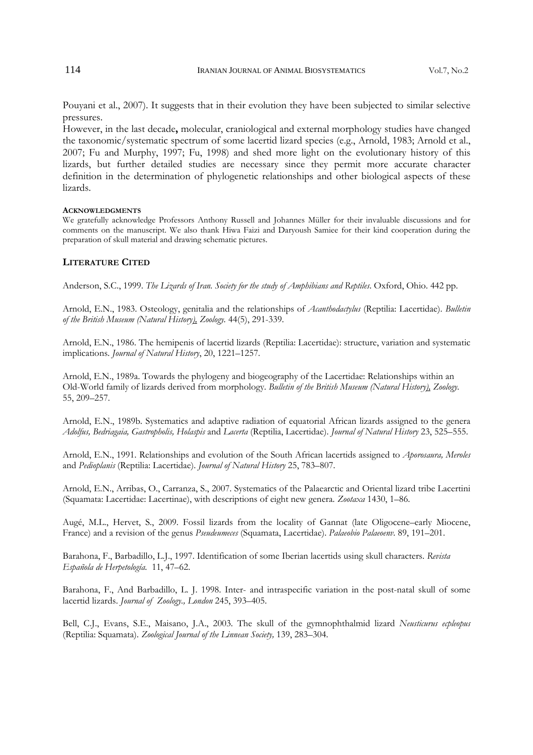Pouyani et al., 2007). It suggests that in their evolution they have been subjected to similar selective pressures.

However, in the last decade**,** molecular, craniological and external morphology studies have changed the taxonomic/systematic spectrum of some lacertid lizard species (e.g., Arnold, 1983; Arnold et al., 2007; Fu and Murphy, 1997; Fu, 1998) and shed more light on the evolutionary history of this lizards, but further detailed studies are necessary since they permit more accurate character definition in the determination of phylogenetic relationships and other biological aspects of these lizards.

### **ACKNOWLEDGMENTS**

We gratefully acknowledge Professors Anthony Russell and Johannes Müller for their invaluable discussions and for comments on the manuscript. We also thank Hiwa Faizi and Daryoush Samiee for their kind cooperation during the preparation of skull material and drawing schematic pictures.

### **LITERATURE CITED**

Anderson, S.C., 1999. *The Lizards of Iran. Society for the study of Amphibians and Reptiles*. Oxford, Ohio. 442 pp.

Arnold, E.N., 1983. Osteology, genitalia and the relationships of *Acanthodactylus* (Reptilia: Lacertidae). *Bulletin of the British Museum (Natural History), Zoology.* 44(5), 291-339.

Arnold, E.N., 1986. The hemipenis of lacertid lizards (Reptilia: Lacertidae): structure, variation and systematic implications. *Journal of Natural History*, 20, 1221–1257.

Arnold, E.N., 1989a. Towards the phylogeny and biogeography of the Lacertidae: Relationships within an Old-World family of lizards derived from morphology. *Bulletin of the British Museum (Natural History), Zoology.*  55, 209–257.

Arnold, E.N., 1989b. Systematics and adaptive radiation of equatorial African lizards assigned to the genera *Adolfus, Bedriagaia, Gastropholis, Holaspis* and *Lacerta* (Reptilia, Lacertidae). *Journal of Natural History* 23, 525–555.

Arnold, E.N., 1991. Relationships and evolution of the South African lacertids assigned to *Aporosaura, Meroles*  and *Pedioplanis* (Reptilia: Lacertidae). *Journal of Natural History* 25, 783–807.

Arnold, E.N., Arribas, O., Carranza, S., 2007. Systematics of the Palaearctic and Oriental lizard tribe Lacertini (Squamata: Lacertidae: Lacertinae), with descriptions of eight new genera. *Zootaxa* 1430, 1–86.

Augé, M.L., Hervet, S., 2009. Fossil lizards from the locality of Gannat (late Oligocene–early Miocene, France) and a revision of the genus *Pseudeumeces* (Squamata, Lacertidae). *Palaeobio Palaeoenv*. 89, 191–201.

Barahona, F., Barbadillo, L.J., 1997. Identification of some Iberian lacertids using skull characters. *Revista Española de Herpetología.* 11, 47–62.

Barahona, F., And Barbadillo, L. J. 1998. Inter- and intraspecific variation in the post-natal skull of some lacertid lizards. *Journal of Zoology., London* 245, 393–405.

Bell, C.J., Evans, S.E., Maisano, J.A., 2003. The skull of the gymnophthalmid lizard *Neusticurus ecpleopus* (Reptilia: Squamata). *Zoological Journal of the Linnean Society,* 139, 283–304.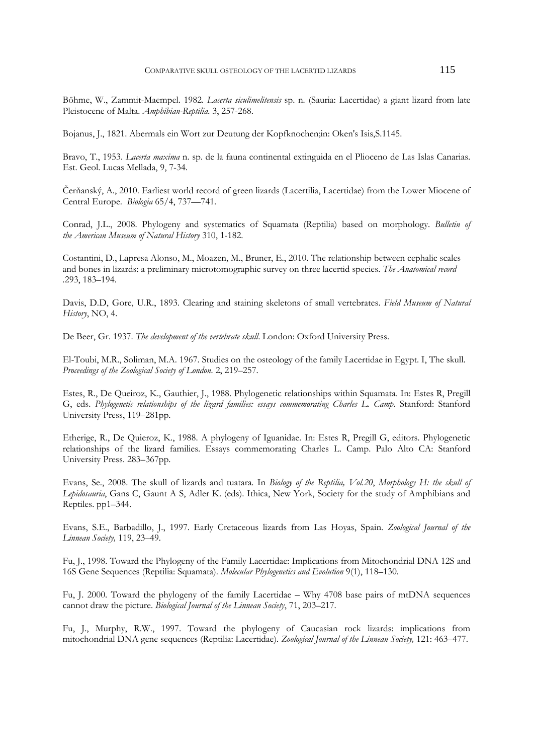Böhme, W., Zammit-Maempel. 1982. *Lacerta siculimelitensis* sp. n*.* (Sauria: Lacertidae) a giant lizard from late Pleistocene of Malta. *Amphibian-Reptilia.* 3, 257-268.

Bojanus, J., 1821. Abermals ein Wort zur Deutung der Kopfknochen;in: Oken's Isis,S.1145.

Bravo, T., 1953. *Lacerta maxima* n. sp. de la fauna continental extinguida en el Plioceno de Las Islas Canarias. Est. Geol. Lucas Mellada, 9, 7-34.

Čerňanský, A., 2010. Earliest world record of green lizards (Lacertilia, Lacertidae) from the Lower Miocene of Central Europe. *Biologia* 65/4, 737—741.

Conrad, J.L., 2008. Phylogeny and systematics of Squamata (Reptilia) based on morphology. *Bulletin of the American Museum of Natural History* 310, 1-182.

Costantini, D., Lapresa Alonso, M., Moazen, M., Bruner, E., 2010. The relationship between cephalic scales and bones in lizards: a preliminary microtomographic survey on three lacertid species. *The Anatomical record .*293, 183–194.

Davis, D.D, Gore, U.R., 1893. Clearing and staining skeletons of small vertebrates. *Field Museum of Natural History*, NO, 4.

De Beer, Gr. 1937. *The development of the vertebrate skull*. London: Oxford University Press.

El-Toubi, M.R., Soliman, M.A. 1967. Studies on the osteology of the family Lacertidae in Egypt. I, The skull. *Proceedings of the Zoological Society of London.* 2, 219–257.

Estes, R., De Queiroz, K., Gauthier, J., 1988. Phylogenetic relationships within Squamata. In: Estes R, Pregill G, eds. *Phylogenetic relationships of the lizard families: essays commemorating Charles L. Camp*. Stanford: Stanford University Press, 119–281pp.

Etherige, R., De Quieroz, K., 1988. A phylogeny of Iguanidae. In: Estes R, Pregill G, editors. Phylogenetic relationships of the lizard families. Essays commemorating Charles L. Camp. Palo Alto CA: Stanford University Press. 283–367pp.

Evans, Se., 2008. The skull of lizards and tuatara*.* In *Biology of the Reptilia, Vol.20*, *Morphology H: the skull of Lepidosauria*, Gans C, Gaunt A S, Adler K. (eds). Ithica, New York, Society for the study of Amphibians and Reptiles. pp1–344.

Evans, S.E., Barbadillo, J., 1997. Early Cretaceous lizards from Las Hoyas, Spain. *Zoological Journal of the Linnean Society,* 119, 23–49.

Fu, J., 1998. Toward the Phylogeny of the Family Lacertidae: Implications from Mitochondrial DNA 12S and 16S Gene Sequences (Reptilia: Squamata). *Molecular Phylogenetics and Evolution* 9(1), 118–130.

Fu, J. 2000. Toward the phylogeny of the family Lacertidae – Why 4708 base pairs of mtDNA sequences cannot draw the picture. *Biological Journal of the Linnean Society*, 71, 203–217.

Fu, J., Murphy, R.W., 1997. Toward the phylogeny of Caucasian rock lizards: implications from mitochondrial DNA gene sequences (Reptilia: Lacertidae). *Zoological Journal of the Linnean Society,* 121: 463–477.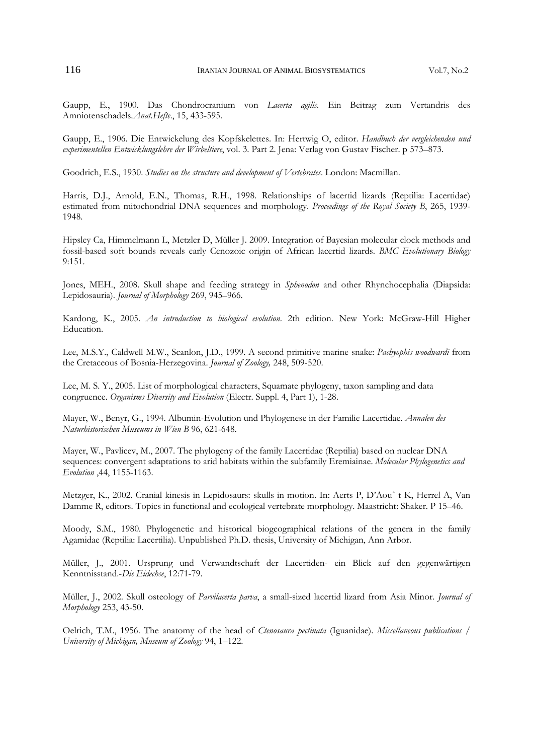Gaupp, E., 1900. Das Chondrocranium von *Lacerta agilis.* Ein Beitrag zum Vertandris des Amniotenschadels.*Anat.Hefte*., 15, 433-595.

Gaupp, E., 1906. Die Entwickelung des Kopfskelettes. In: Hertwig O, editor. *Handbuch der vergleichenden und experimentellen Entwicklungslehre der Wirbeltiere*, vol. 3. Part 2. Jena: Verlag von Gustav Fischer. p 573–873.

Goodrich, E.S., 1930. *Studies on the structure and development of Vertebrates*. London: Macmillan.

Harris, D.J., Arnold, E.N., Thomas, R.H., 1998. Relationships of lacertid lizards (Reptilia: Lacertidae) estimated from mitochondrial DNA sequences and morphology. *Proceedings of the Royal Society B*, 265, 1939- 1948.

Hipsley Ca, Himmelmann L, Metzler D, Müller J. 2009. Integration of Bayesian molecular clock methods and fossil-based soft bounds reveals early Cenozoic origin of African lacertid lizards. *BMC Evolutionary Biology* 9:151.

Jones, MEH., 2008. Skull shape and feeding strategy in *Sphenodon* and other Rhynchocephalia (Diapsida: Lepidosauria). *Journal of Morphology* 269, 945–966.

Kardong, K., 2005. *An introduction to biological evolution*. 2th edition. New York: McGraw-Hill Higher Education.

Lee, M.S.Y., Caldwell M.W., Scanlon, J.D., 1999. A second primitive marine snake: *Pachyophis woodwardi* from the Cretaceous of Bosnia-Herzegovina. *Journal of Zoology,* 248, 509-520.

Lee, M. S. Y., 2005. List of morphological characters, Squamate phylogeny, taxon sampling and data congruence. *Organisms Diversity and Evolution* (Electr. Suppl. 4, Part 1), 1-28.

Mayer, W., Benyr, G., 1994. Albumin-Evolution und Phylogenese in der Familie Lacertidae. *Annalen des Naturhistorischen Museums in Wien B* 96, 621-648.

Mayer, W., Pavlicev, M., 2007. The phylogeny of the family Lacertidae (Reptilia) based on nuclear DNA sequences: convergent adaptations to arid habitats within the subfamily Eremiainae. *Molecular Phylogenetics and Evolution* ,44, 1155-1163.

Metzger, K., 2002. Cranial kinesis in Lepidosaurs: skulls in motion. In: Aerts P, D'Aouˆ t K, Herrel A, Van Damme R, editors. Topics in functional and ecological vertebrate morphology. Maastricht: Shaker. P 15–46.

Moody, S.M., 1980. Phylogenetic and historical biogeographical relations of the genera in the family Agamidae (Reptilia: Lacertilia). Unpublished Ph.D. thesis, University of Michigan, Ann Arbor.

Müller, J., 2001. Ursprung und Verwandtschaft der Lacertiden- ein Blick auf den gegenwärtigen Kenntnisstand.-*Die Eidechse*, 12:71-79.

Müller, J., 2002. Skull osteology of *Parvilacerta parva*, a small-sized lacertid lizard from Asia Minor. *Journal of Morphology* 253, 43-50.

Oelrich, T.M., 1956. The anatomy of the head of *Ctenosaura pectinata* (Iguanidae). *Miscellaneous publications / University of Michigan, Museum of Zoology* 94, 1–122.